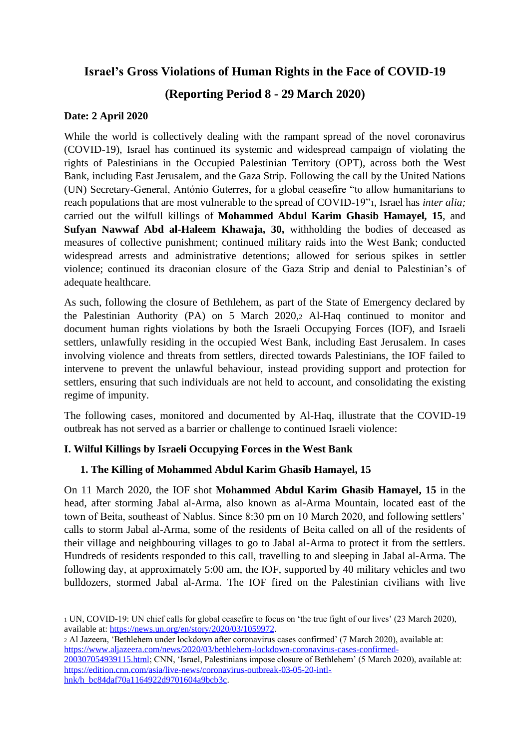# **Israel's Gross Violations of Human Rights in the Face of COVID-19**

# **(Reporting Period 8 - 29 March 2020)**

# **Date: 2 April 2020**

While the world is collectively dealing with the rampant spread of the novel coronavirus (COVID-19), Israel has continued its systemic and widespread campaign of violating the rights of Palestinians in the Occupied Palestinian Territory (OPT), across both the West Bank, including East Jerusalem, and the Gaza Strip. Following the call by the United Nations (UN) Secretary-General, António Guterres, for a global ceasefire "to allow humanitarians to reach populations that are most vulnerable to the spread of COVID-19"1, Israel has *inter alia;* carried out the wilfull killings of **Mohammed Abdul Karim Ghasib Hamayel***,* **15**, and **Sufyan Nawwaf Abd al-Haleem Khawaja, 30,** withholding the bodies of deceased as measures of collective punishment; continued military raids into the West Bank; conducted widespread arrests and administrative detentions; allowed for serious spikes in settler violence; continued its draconian closure of the Gaza Strip and denial to Palestinian's of adequate healthcare.

As such, following the closure of Bethlehem, as part of the State of Emergency declared by the Palestinian Authority (PA) on 5 March 2020,<sup>2</sup> Al-Haq continued to monitor and document human rights violations by both the Israeli Occupying Forces (IOF), and Israeli settlers, unlawfully residing in the occupied West Bank, including East Jerusalem. In cases involving violence and threats from settlers, directed towards Palestinians, the IOF failed to intervene to prevent the unlawful behaviour, instead providing support and protection for settlers, ensuring that such individuals are not held to account, and consolidating the existing regime of impunity.

The following cases, monitored and documented by Al-Haq, illustrate that the COVID-19 outbreak has not served as a barrier or challenge to continued Israeli violence:

# **I. Wilful Killings by Israeli Occupying Forces in the West Bank**

### **1. The Killing of Mohammed Abdul Karim Ghasib Hamayel, 15**

On 11 March 2020, the IOF shot **Mohammed Abdul Karim Ghasib Hamayel, 15** in the head, after storming Jabal al-Arma, also known as al-Arma Mountain, located east of the town of Beita, southeast of Nablus. Since 8:30 pm on 10 March 2020, and following settlers' calls to storm Jabal al-Arma, some of the residents of Beita called on all of the residents of their village and neighbouring villages to go to Jabal al-Arma to protect it from the settlers. Hundreds of residents responded to this call, travelling to and sleeping in Jabal al-Arma. The following day, at approximately 5:00 am, the IOF, supported by 40 military vehicles and two bulldozers, stormed Jabal al-Arma. The IOF fired on the Palestinian civilians with live

<sup>1</sup> UN, COVID-19: UN chief calls for global ceasefire to focus on 'the true fight of our lives' (23 March 2020), available at: [https://news.un.org/en/story/2020/03/1059972.](https://news.un.org/en/story/2020/03/1059972)

<sup>2</sup> Al Jazeera, 'Bethlehem under lockdown after coronavirus cases confirmed' (7 March 2020), available at: [https://www.aljazeera.com/news/2020/03/bethlehem-lockdown-coronavirus-cases-confirmed-](https://www.aljazeera.com/news/2020/03/bethlehem-lockdown-coronavirus-cases-confirmed-200307054939115.html)[200307054939115.html;](https://www.aljazeera.com/news/2020/03/bethlehem-lockdown-coronavirus-cases-confirmed-200307054939115.html) CNN, 'Israel, Palestinians impose closure of Bethlehem' (5 March 2020), available at: [https://edition.cnn.com/asia/live-news/coronavirus-outbreak-03-05-20-intl](https://edition.cnn.com/asia/live-news/coronavirus-outbreak-03-05-20-intl-hnk/h_bc84daf70a1164922d9701604a9bcb3c)[hnk/h\\_bc84daf70a1164922d9701604a9bcb3c.](https://edition.cnn.com/asia/live-news/coronavirus-outbreak-03-05-20-intl-hnk/h_bc84daf70a1164922d9701604a9bcb3c)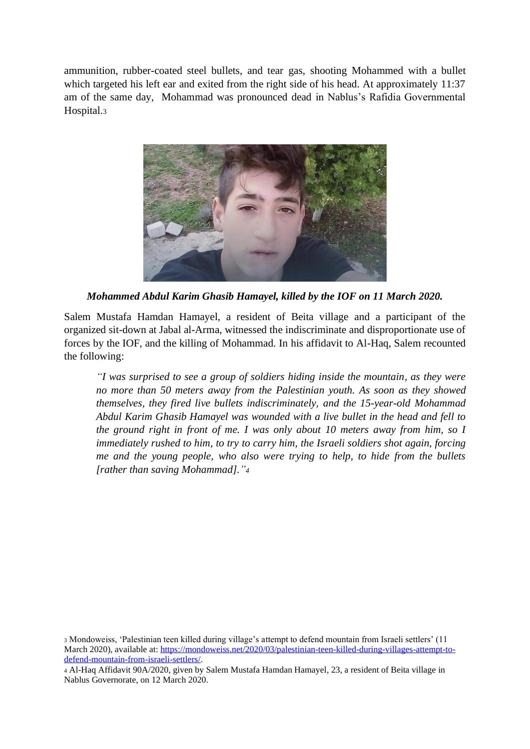ammunition, rubber-coated steel bullets, and tear gas, shooting Mohammed with a bullet which targeted his left ear and exited from the right side of his head. At approximately 11:37 am of the same day, Mohammad was pronounced dead in Nablus's Rafidia Governmental Hospital.<sup>3</sup>



*Mohammed Abdul Karim Ghasib Hamayel, killed by the IOF on 11 March 2020.*

Salem Mustafa Hamdan Hamayel, a resident of Beita village and a participant of the organized sit-down at Jabal al-Arma, witnessed the indiscriminate and disproportionate use of forces by the IOF, and the killing of Mohammad. In his affidavit to Al-Haq, Salem recounted the following:

*"I was surprised to see a group of soldiers hiding inside the mountain, as they were no more than 50 meters away from the Palestinian youth. As soon as they showed themselves, they fired live bullets indiscriminately, and the 15-year-old Mohammad Abdul Karim Ghasib Hamayel was wounded with a live bullet in the head and fell to the ground right in front of me. I was only about 10 meters away from him, so I immediately rushed to him, to try to carry him, the Israeli soldiers shot again, forcing me and the young people, who also were trying to help, to hide from the bullets [rather than saving Mohammad]."<sup>4</sup>*

<sup>3</sup> Mondoweiss, 'Palestinian teen killed during village's attempt to defend mountain from Israeli settlers' (11 March 2020), available at: [https://mondoweiss.net/2020/03/palestinian-teen-killed-during-villages-attempt-to](https://mondoweiss.net/2020/03/palestinian-teen-killed-during-villages-attempt-to-defend-mountain-from-israeli-settlers/)[defend-mountain-from-israeli-settlers/.](https://mondoweiss.net/2020/03/palestinian-teen-killed-during-villages-attempt-to-defend-mountain-from-israeli-settlers/)

<sup>4</sup> Al-Haq Affidavit 90A/2020, given by Salem Mustafa Hamdan Hamayel, 23, a resident of Beita village in Nablus Governorate, on 12 March 2020.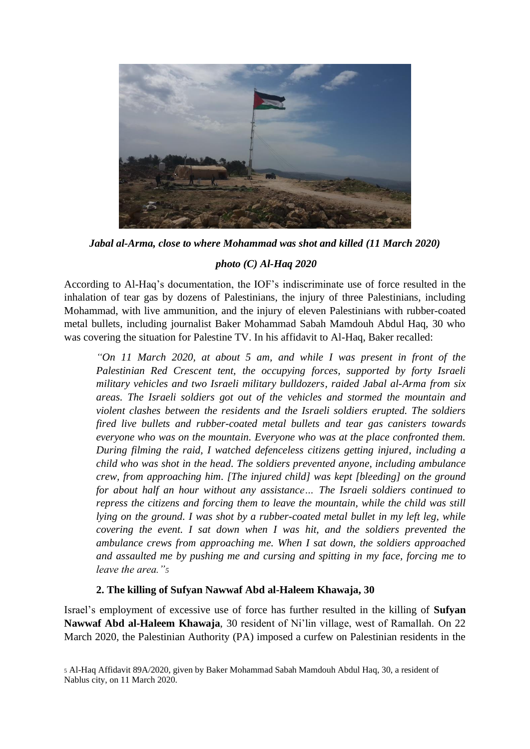

*Jabal al-Arma, close to where Mohammad was shot and killed (11 March 2020)*

# *photo (C) Al-Haq 2020*

According to Al-Haq's documentation, the IOF's indiscriminate use of force resulted in the inhalation of tear gas by dozens of Palestinians, the injury of three Palestinians, including Mohammad, with live ammunition, and the injury of eleven Palestinians with rubber-coated metal bullets, including journalist Baker Mohammad Sabah Mamdouh Abdul Haq, 30 who was covering the situation for Palestine TV. In his affidavit to Al-Haq, Baker recalled:

*"On 11 March 2020, at about 5 am, and while I was present in front of the Palestinian Red Crescent tent, the occupying forces, supported by forty Israeli military vehicles and two Israeli military bulldozers, raided Jabal al-Arma from six areas. The Israeli soldiers got out of the vehicles and stormed the mountain and violent clashes between the residents and the Israeli soldiers erupted. The soldiers fired live bullets and rubber-coated metal bullets and tear gas canisters towards everyone who was on the mountain. Everyone who was at the place confronted them. During filming the raid, I watched defenceless citizens getting injured, including a child who was shot in the head. The soldiers prevented anyone, including ambulance crew, from approaching him. [The injured child] was kept [bleeding] on the ground for about half an hour without any assistance… The Israeli soldiers continued to repress the citizens and forcing them to leave the mountain, while the child was still lying on the ground. I was shot by a rubber-coated metal bullet in my left leg, while covering the event. I sat down when I was hit, and the soldiers prevented the ambulance crews from approaching me. When I sat down, the soldiers approached and assaulted me by pushing me and cursing and spitting in my face, forcing me to leave the area."<sup>5</sup>*

### **2. The killing of Sufyan Nawwaf Abd al-Haleem Khawaja, 30**

Israel's employment of excessive use of force has further resulted in the killing of **Sufyan Nawwaf Abd al-Haleem Khawaja**, 30 resident of Ni'lin village, west of Ramallah. On 22 March 2020, the Palestinian Authority (PA) imposed a curfew on Palestinian residents in the

<sup>5</sup> Al-Haq Affidavit 89A/2020, given by Baker Mohammad Sabah Mamdouh Abdul Haq, 30, a resident of Nablus city, on 11 March 2020.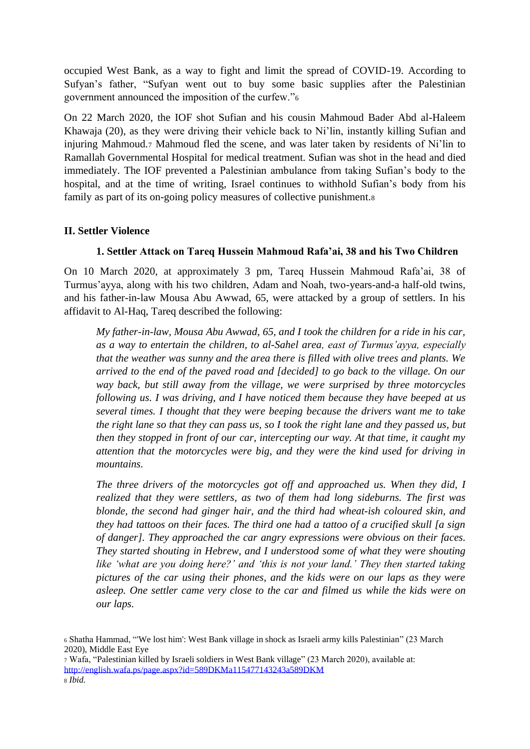occupied West Bank, as a way to fight and limit the spread of COVID-19. According to Sufyan's father, "Sufyan went out to buy some basic supplies after the Palestinian government announced the imposition of the curfew."<sup>6</sup>

On 22 March 2020, the IOF shot Sufian and his cousin Mahmoud Bader Abd al-Haleem Khawaja (20), as they were driving their vehicle back to Ni'lin, instantly killing Sufian and injuring Mahmoud.<sup>7</sup> Mahmoud fled the scene, and was later taken by residents of Ni'lin to Ramallah Governmental Hospital for medical treatment. Sufian was shot in the head and died immediately. The IOF prevented a Palestinian ambulance from taking Sufian's body to the hospital, and at the time of writing, Israel continues to withhold Sufian's body from his family as part of its on-going policy measures of collective punishment.<sup>8</sup>

#### **II. Settler Violence**

### **1. Settler Attack on Tareq Hussein Mahmoud Rafa'ai, 38 and his Two Children**

On 10 March 2020, at approximately 3 pm, Tareq Hussein Mahmoud Rafa'ai, 38 of Turmus'ayya, along with his two children, Adam and Noah, two-years-and-a half-old twins, and his father-in-law Mousa Abu Awwad, 65, were attacked by a group of settlers. In his affidavit to Al-Haq, Tareq described the following:

*My father-in-law, Mousa Abu Awwad, 65, and I took the children for a ride in his car, as a way to entertain the children, to al-Sahel area, east of Turmus'ayya, especially that the weather was sunny and the area there is filled with olive trees and plants. We arrived to the end of the paved road and [decided] to go back to the village. On our way back, but still away from the village, we were surprised by three motorcycles following us. I was driving, and I have noticed them because they have beeped at us several times. I thought that they were beeping because the drivers want me to take the right lane so that they can pass us, so I took the right lane and they passed us, but then they stopped in front of our car, intercepting our way. At that time, it caught my attention that the motorcycles were big, and they were the kind used for driving in mountains.* 

*The three drivers of the motorcycles got off and approached us. When they did, I realized that they were settlers, as two of them had long sideburns. The first was blonde, the second had ginger hair, and the third had wheat-ish coloured skin, and they had tattoos on their faces. The third one had a tattoo of a crucified skull [a sign of danger]. They approached the car angry expressions were obvious on their faces. They started shouting in Hebrew, and I understood some of what they were shouting like 'what are you doing here?' and 'this is not your land.' They then started taking pictures of the car using their phones, and the kids were on our laps as they were asleep. One settler came very close to the car and filmed us while the kids were on our laps.* 

<sup>6</sup> Shatha Hammad, "'We lost him': West Bank village in shock as Israeli army kills Palestinian" (23 March 2020), Middle East Eye

<sup>7</sup> Wafa, "Palestinian killed by Israeli soldiers in West Bank village" (23 March 2020), available at: <http://english.wafa.ps/page.aspx?id=589DKMa115477143243a589DKM> <sup>8</sup> *Ibid.*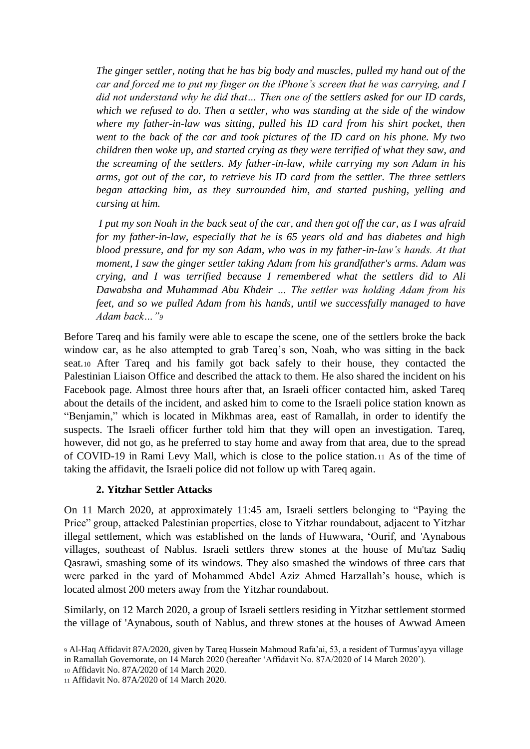*The ginger settler, noting that he has big body and muscles, pulled my hand out of the car and forced me to put my finger on the iPhone's screen that he was carrying, and I did not understand why he did that… Then one of the settlers asked for our ID cards, which we refused to do. Then a settler, who was standing at the side of the window where my father-in-law was sitting, pulled his ID card from his shirt pocket, then went to the back of the car and took pictures of the ID card on his phone. My two children then woke up, and started crying as they were terrified of what they saw, and the screaming of the settlers. My father-in-law, while carrying my son Adam in his arms, got out of the car, to retrieve his ID card from the settler. The three settlers began attacking him, as they surrounded him, and started pushing, yelling and cursing at him.*

*I put my son Noah in the back seat of the car, and then got off the car, as I was afraid for my father-in-law, especially that he is 65 years old and has diabetes and high blood pressure, and for my son Adam, who was in my father-in-law's hands. At that moment, I saw the ginger settler taking Adam from his grandfather's arms. Adam was crying, and I was terrified because I remembered what the settlers did to Ali Dawabsha and Muhammad Abu Khdeir … The settler was holding Adam from his feet, and so we pulled Adam from his hands, until we successfully managed to have Adam back…"<sup>9</sup>*

Before Tareq and his family were able to escape the scene, one of the settlers broke the back window car, as he also attempted to grab Tareq's son, Noah, who was sitting in the back seat.<sup>10</sup> After Tareq and his family got back safely to their house, they contacted the Palestinian Liaison Office and described the attack to them. He also shared the incident on his Facebook page. Almost three hours after that, an Israeli officer contacted him, asked Tareq about the details of the incident, and asked him to come to the Israeli police station known as "Benjamin," which is located in Mikhmas area, east of Ramallah, in order to identify the suspects. The Israeli officer further told him that they will open an investigation. Tareq, however, did not go, as he preferred to stay home and away from that area, due to the spread of COVID-19 in Rami Levy Mall, which is close to the police station.<sup>11</sup> As of the time of taking the affidavit, the Israeli police did not follow up with Tareq again.

#### **2. Yitzhar Settler Attacks**

On 11 March 2020, at approximately 11:45 am, Israeli settlers belonging to "Paying the Price" group, attacked Palestinian properties, close to Yitzhar roundabout, adjacent to Yitzhar illegal settlement, which was established on the lands of Huwwara, 'Ourif, and 'Aynabous villages, southeast of Nablus. Israeli settlers threw stones at the house of Mu'taz Sadiq Qasrawi, smashing some of its windows. They also smashed the windows of three cars that were parked in the yard of Mohammed Abdel Aziz Ahmed Harzallah's house, which is located almost 200 meters away from the Yitzhar roundabout.

Similarly, on 12 March 2020, a group of Israeli settlers residing in Yitzhar settlement stormed the village of 'Aynabous, south of Nablus, and threw stones at the houses of Awwad Ameen

<sup>10</sup> Affidavit No. 87A/2020 of 14 March 2020.

<sup>11</sup> Affidavit No. 87A/2020 of 14 March 2020.

<sup>9</sup> Al-Haq Affidavit 87A/2020, given by Tareq Hussein Mahmoud Rafa'ai, 53, a resident of Turmus'ayya village in Ramallah Governorate, on 14 March 2020 (hereafter 'Affidavit No. 87A/2020 of 14 March 2020').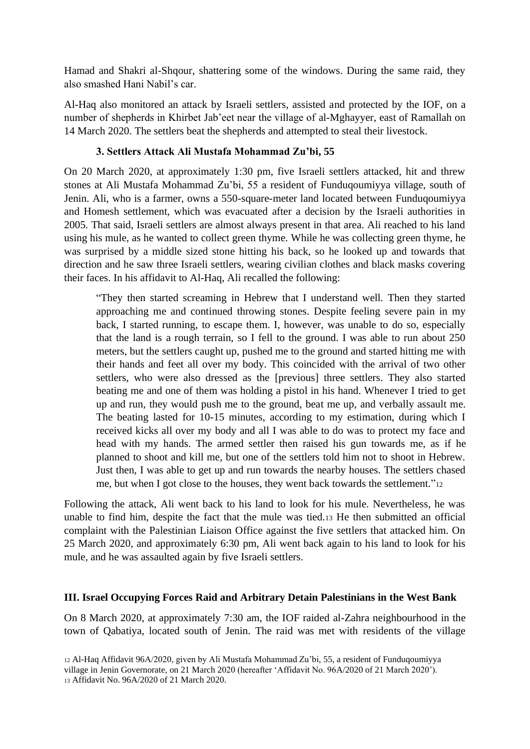Hamad and Shakri al-Shqour, shattering some of the windows. During the same raid, they also smashed Hani Nabil's car.

Al-Haq also monitored an attack by Israeli settlers, assisted and protected by the IOF, on a number of shepherds in Khirbet Jab'eet near the village of al-Mghayyer, east of Ramallah on 14 March 2020. The settlers beat the shepherds and attempted to steal their livestock.

#### **3. Settlers Attack Ali Mustafa Mohammad Zu'bi, 55**

On 20 March 2020, at approximately 1:30 pm, five Israeli settlers attacked, hit and threw stones at Ali Mustafa Mohammad Zu'bi, 55 a resident of Funduqoumiyya village, south of Jenin. Ali, who is a farmer, owns a 550-square-meter land located between Funduqoumiyya and Homesh settlement, which was evacuated after a decision by the Israeli authorities in 2005. That said, Israeli settlers are almost always present in that area. Ali reached to his land using his mule, as he wanted to collect green thyme. While he was collecting green thyme, he was surprised by a middle sized stone hitting his back, so he looked up and towards that direction and he saw three Israeli settlers, wearing civilian clothes and black masks covering their faces. In his affidavit to Al-Haq, Ali recalled the following:

"They then started screaming in Hebrew that I understand well. Then they started approaching me and continued throwing stones. Despite feeling severe pain in my back, I started running, to escape them. I, however, was unable to do so, especially that the land is a rough terrain, so I fell to the ground. I was able to run about 250 meters, but the settlers caught up, pushed me to the ground and started hitting me with their hands and feet all over my body. This coincided with the arrival of two other settlers, who were also dressed as the [previous] three settlers. They also started beating me and one of them was holding a pistol in his hand. Whenever I tried to get up and run, they would push me to the ground, beat me up, and verbally assault me. The beating lasted for 10-15 minutes, according to my estimation, during which I received kicks all over my body and all I was able to do was to protect my face and head with my hands. The armed settler then raised his gun towards me, as if he planned to shoot and kill me, but one of the settlers told him not to shoot in Hebrew. Just then, I was able to get up and run towards the nearby houses. The settlers chased me, but when I got close to the houses, they went back towards the settlement."<sup>12</sup>

Following the attack, Ali went back to his land to look for his mule. Nevertheless, he was unable to find him, despite the fact that the mule was tied.<sup>13</sup> He then submitted an official complaint with the Palestinian Liaison Office against the five settlers that attacked him. On 25 March 2020, and approximately 6:30 pm, Ali went back again to his land to look for his mule, and he was assaulted again by five Israeli settlers.

#### **III. Israel Occupying Forces Raid and Arbitrary Detain Palestinians in the West Bank**

On 8 March 2020, at approximately 7:30 am, the IOF raided al-Zahra neighbourhood in the town of Qabatiya, located south of Jenin. The raid was met with residents of the village

<sup>12</sup> Al-Haq Affidavit 96A/2020, given by Ali Mustafa Mohammad Zu'bi, 55, a resident of Funduqoumiyya village in Jenin Governorate, on 21 March 2020 (hereafter 'Affidavit No. 96A/2020 of 21 March 2020'). <sup>13</sup> Affidavit No. 96A/2020 of 21 March 2020.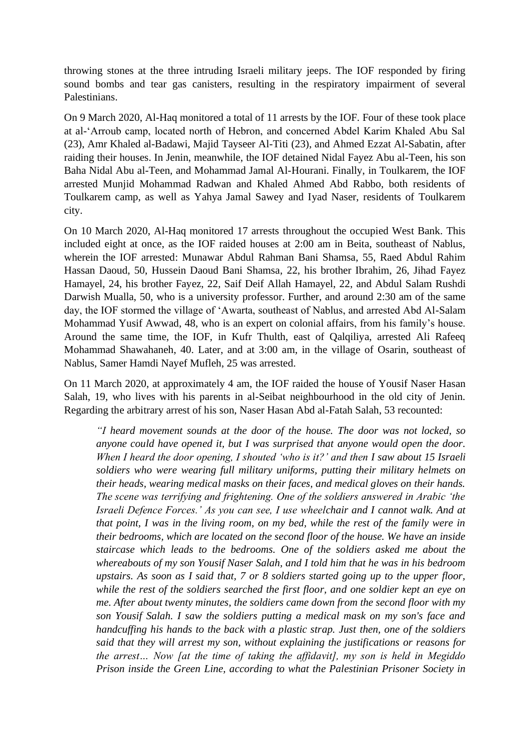throwing stones at the three intruding Israeli military jeeps. The IOF responded by firing sound bombs and tear gas canisters, resulting in the respiratory impairment of several Palestinians.

On 9 March 2020, Al-Haq monitored a total of 11 arrests by the IOF. Four of these took place at al-'Arroub camp, located north of Hebron, and concerned Abdel Karim Khaled Abu Sal (23), Amr Khaled al-Badawi, Majid Tayseer Al-Titi (23), and Ahmed Ezzat Al-Sabatin, after raiding their houses. In Jenin, meanwhile, the IOF detained Nidal Fayez Abu al-Teen, his son Baha Nidal Abu al-Teen, and Mohammad Jamal Al-Hourani. Finally, in Toulkarem, the IOF arrested Munjid Mohammad Radwan and Khaled Ahmed Abd Rabbo, both residents of Toulkarem camp, as well as Yahya Jamal Sawey and Iyad Naser, residents of Toulkarem city.

On 10 March 2020, Al-Haq monitored 17 arrests throughout the occupied West Bank. This included eight at once, as the IOF raided houses at 2:00 am in Beita, southeast of Nablus, wherein the IOF arrested: Munawar Abdul Rahman Bani Shamsa, 55, Raed Abdul Rahim Hassan Daoud, 50, Hussein Daoud Bani Shamsa, 22, his brother Ibrahim, 26, Jihad Fayez Hamayel, 24, his brother Fayez, 22, Saif Deif Allah Hamayel, 22, and Abdul Salam Rushdi Darwish Mualla, 50, who is a university professor. Further, and around 2:30 am of the same day, the IOF stormed the village of 'Awarta, southeast of Nablus, and arrested Abd Al-Salam Mohammad Yusif Awwad, 48, who is an expert on colonial affairs, from his family's house. Around the same time, the IOF, in Kufr Thulth, east of Qalqiliya, arrested Ali Rafeeq Mohammad Shawahaneh, 40. Later, and at 3:00 am, in the village of Osarin, southeast of Nablus, Samer Hamdi Nayef Mufleh, 25 was arrested.

On 11 March 2020, at approximately 4 am, the IOF raided the house of Yousif Naser Hasan Salah, 19, who lives with his parents in al-Seibat neighbourhood in the old city of Jenin. Regarding the arbitrary arrest of his son, Naser Hasan Abd al-Fatah Salah, 53 recounted:

*"I heard movement sounds at the door of the house. The door was not locked, so anyone could have opened it, but I was surprised that anyone would open the door. When I heard the door opening, I shouted 'who is it?' and then I saw about 15 Israeli soldiers who were wearing full military uniforms, putting their military helmets on their heads, wearing medical masks on their faces, and medical gloves on their hands. The scene was terrifying and frightening. One of the soldiers answered in Arabic 'the Israeli Defence Forces.' As you can see, I use wheelchair and I cannot walk. And at that point, I was in the living room, on my bed, while the rest of the family were in their bedrooms, which are located on the second floor of the house. We have an inside staircase which leads to the bedrooms. One of the soldiers asked me about the whereabouts of my son Yousif Naser Salah, and I told him that he was in his bedroom upstairs. As soon as I said that, 7 or 8 soldiers started going up to the upper floor, while the rest of the soldiers searched the first floor, and one soldier kept an eye on me. After about twenty minutes, the soldiers came down from the second floor with my son Yousif Salah. I saw the soldiers putting a medical mask on my son's face and handcuffing his hands to the back with a plastic strap. Just then, one of the soldiers said that they will arrest my son, without explaining the justifications or reasons for the arrest… Now [at the time of taking the affidavit], my son is held in Megiddo Prison inside the Green Line, according to what the Palestinian Prisoner Society in*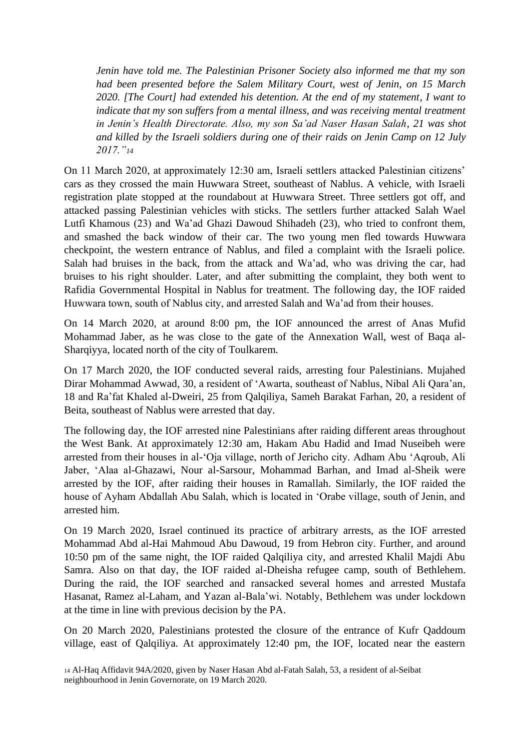*Jenin have told me. The Palestinian Prisoner Society also informed me that my son had been presented before the Salem Military Court, west of Jenin, on 15 March 2020. [The Court] had extended his detention. At the end of my statement, I want to indicate that my son suffers from a mental illness, and was receiving mental treatment in Jenin's Health Directorate. Also, my son Sa'ad Naser Hasan Salah, 21 was shot and killed by the Israeli soldiers during one of their raids on Jenin Camp on 12 July 2017."<sup>14</sup>*

On 11 March 2020, at approximately 12:30 am, Israeli settlers attacked Palestinian citizens' cars as they crossed the main Huwwara Street, southeast of Nablus. A vehicle, with Israeli registration plate stopped at the roundabout at Huwwara Street. Three settlers got off, and attacked passing Palestinian vehicles with sticks. The settlers further attacked Salah Wael Lutfi Khamous (23) and Wa'ad Ghazi Dawoud Shihadeh (23), who tried to confront them, and smashed the back window of their car. The two young men fled towards Huwwara checkpoint, the western entrance of Nablus, and filed a complaint with the Israeli police. Salah had bruises in the back, from the attack and Wa'ad, who was driving the car, had bruises to his right shoulder. Later, and after submitting the complaint, they both went to Rafidia Governmental Hospital in Nablus for treatment. The following day, the IOF raided Huwwara town, south of Nablus city, and arrested Salah and Wa'ad from their houses.

On 14 March 2020, at around 8:00 pm, the IOF announced the arrest of Anas Mufid Mohammad Jaber, as he was close to the gate of the Annexation Wall, west of Baqa al-Sharqiyya, located north of the city of Toulkarem.

On 17 March 2020, the IOF conducted several raids, arresting four Palestinians. Mujahed Dirar Mohammad Awwad, 30, a resident of 'Awarta, southeast of Nablus, Nibal Ali Qara'an, 18 and Ra'fat Khaled al-Dweiri, 25 from Qalqiliya, Sameh Barakat Farhan, 20, a resident of Beita, southeast of Nablus were arrested that day.

The following day, the IOF arrested nine Palestinians after raiding different areas throughout the West Bank. At approximately 12:30 am, Hakam Abu Hadid and Imad Nuseibeh were arrested from their houses in al-'Oja village, north of Jericho city. Adham Abu 'Aqroub, Ali Jaber, 'Alaa al-Ghazawi, Nour al-Sarsour, Mohammad Barhan, and Imad al-Sheik were arrested by the IOF, after raiding their houses in Ramallah. Similarly, the IOF raided the house of Ayham Abdallah Abu Salah, which is located in 'Orabe village, south of Jenin, and arrested him.

On 19 March 2020, Israel continued its practice of arbitrary arrests, as the IOF arrested Mohammad Abd al-Hai Mahmoud Abu Dawoud, 19 from Hebron city. Further, and around 10:50 pm of the same night, the IOF raided Qalqiliya city, and arrested Khalil Majdi Abu Samra. Also on that day, the IOF raided al-Dheisha refugee camp, south of Bethlehem. During the raid, the IOF searched and ransacked several homes and arrested Mustafa Hasanat, Ramez al-Laham, and Yazan al-Bala'wi. Notably, Bethlehem was under lockdown at the time in line with previous decision by the PA.

On 20 March 2020, Palestinians protested the closure of the entrance of Kufr Qaddoum village, east of Qalqiliya. At approximately 12:40 pm, the IOF, located near the eastern

<sup>14</sup> Al-Haq Affidavit 94A/2020, given by Naser Hasan Abd al-Fatah Salah, 53, a resident of al-Seibat neighbourhood in Jenin Governorate, on 19 March 2020.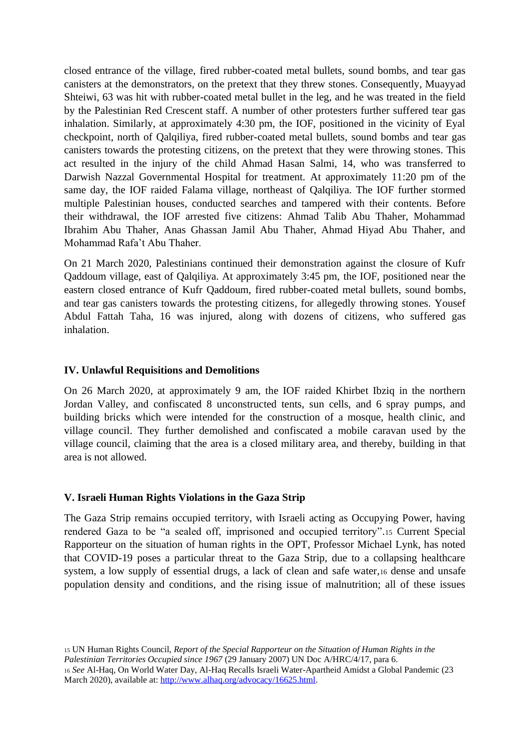closed entrance of the village, fired rubber-coated metal bullets, sound bombs, and tear gas canisters at the demonstrators, on the pretext that they threw stones. Consequently, Muayyad Shteiwi, 63 was hit with rubber-coated metal bullet in the leg, and he was treated in the field by the Palestinian Red Crescent staff. A number of other protesters further suffered tear gas inhalation. Similarly, at approximately 4:30 pm, the IOF, positioned in the vicinity of Eyal checkpoint, north of Qalqiliya, fired rubber-coated metal bullets, sound bombs and tear gas canisters towards the protesting citizens, on the pretext that they were throwing stones. This act resulted in the injury of the child Ahmad Hasan Salmi, 14, who was transferred to Darwish Nazzal Governmental Hospital for treatment. At approximately 11:20 pm of the same day, the IOF raided Falama village, northeast of Qalqiliya. The IOF further stormed multiple Palestinian houses, conducted searches and tampered with their contents. Before their withdrawal, the IOF arrested five citizens: Ahmad Talib Abu Thaher, Mohammad Ibrahim Abu Thaher, Anas Ghassan Jamil Abu Thaher, Ahmad Hiyad Abu Thaher, and Mohammad Rafa't Abu Thaher.

On 21 March 2020, Palestinians continued their demonstration against the closure of Kufr Qaddoum village, east of Qalqiliya. At approximately 3:45 pm, the IOF, positioned near the eastern closed entrance of Kufr Qaddoum, fired rubber-coated metal bullets, sound bombs, and tear gas canisters towards the protesting citizens, for allegedly throwing stones. Yousef Abdul Fattah Taha, 16 was injured, along with dozens of citizens, who suffered gas inhalation.

#### **IV. Unlawful Requisitions and Demolitions**

On 26 March 2020, at approximately 9 am, the IOF raided Khirbet Ibziq in the northern Jordan Valley, and confiscated 8 unconstructed tents, sun cells, and 6 spray pumps, and building bricks which were intended for the construction of a mosque, health clinic, and village council. They further demolished and confiscated a mobile caravan used by the village council, claiming that the area is a closed military area, and thereby, building in that area is not allowed.

#### **V. Israeli Human Rights Violations in the Gaza Strip**

The Gaza Strip remains occupied territory, with Israeli acting as Occupying Power, having rendered Gaza to be "a sealed off, imprisoned and occupied territory".<sup>15</sup> Current Special Rapporteur on the situation of human rights in the OPT, Professor Michael Lynk, has noted that COVID-19 poses a particular threat to the Gaza Strip, due to a collapsing healthcare system, a low supply of essential drugs, a lack of clean and safe water, 16 dense and unsafe population density and conditions, and the rising issue of malnutrition; all of these issues

<sup>15</sup> UN Human Rights Council, *Report of the Special Rapporteur on the Situation of Human Rights in the Palestinian Territories Occupied since 1967* (29 January 2007) UN Doc A/HRC/4/17, para 6. <sup>16</sup> *See* Al-Haq, On World Water Day, Al-Haq Recalls Israeli Water-Apartheid Amidst a Global Pandemic (23 March 2020), available at: [http://www.alhaq.org/advocacy/16625.html.](http://www.alhaq.org/advocacy/16625.html)